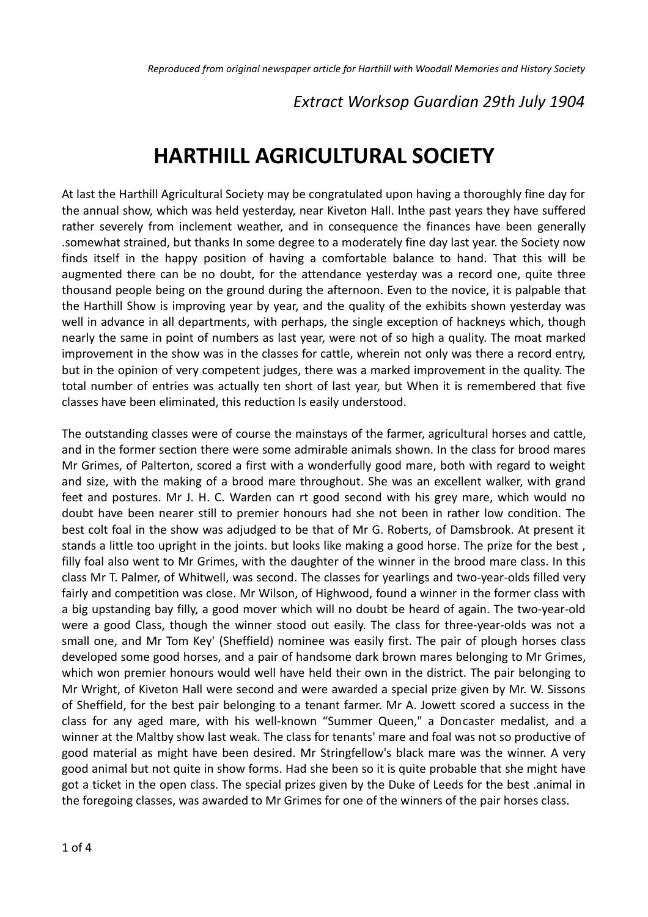# *Extract Worksop Guardian 29th July 1904*

# **HARTHILL AGRICULTURAL SOCIETY**

At last the Harthill Agricultural Society may be congratulated upon having a thoroughly fine day for the annual show, which was held yesterday, near Kiveton Hall. lnthe past years they have suffered rather severely from inclement weather, and in consequence the finances have been generally .somewhat strained, but thanks In some degree to a moderately fine day last year. the Society now finds itself in the happy position of having a comfortable balance to hand. That this will be augmented there can be no doubt, for the attendance yesterday was a record one, quite three thousand people being on the ground during the afternoon. Even to the novice, it is palpable that the Harthill Show is improving year by year, and the quality of the exhibits shown yesterday was well in advance in all departments, with perhaps, the single exception of hackneys which, though nearly the same in point of numbers as last year, were not of so high a quality. The moat marked improvement in the show was in the classes for cattle, wherein not only was there a record entry, but in the opinion of very competent judges, there was a marked improvement in the quality. The total number of entries was actually ten short of last year, but When it is remembered that five classes have been eliminated, this reduction ls easily understood.

The outstanding classes were of course the mainstays of the farmer, agricultural horses and cattle, and in the former section there were some admirable animals shown. In the class for brood mares Mr Grimes, of Palterton, scored a first with a wonderfully good mare, both with regard to weight and size, with the making of a brood mare throughout. She was an excellent walker, with grand feet and postures. Mr J. H. C. Warden can rt good second with his grey mare, which would no doubt have been nearer still to premier honours had she not been in rather low condition. The best colt foal in the show was adjudged to be that of Mr G. Roberts, of Damsbrook. At present it stands a little too upright in the joints. but looks like making a good horse. The prize for the best , filly foal also went to Mr Grimes, with the daughter of the winner in the brood mare class. In this class Mr T. Palmer, of Whitwell, was second. The classes for yearlings and two-year-olds filled very fairly and competition was close. Mr Wilson, of Highwood, found a winner in the former class with a big upstanding bay filly, a good mover which will no doubt be heard of again. The two-year-old were a good Class, though the winner stood out easily. The class for three-year-olds was not a small one, and Mr Tom Key' (Sheffield) nominee was easily first. The pair of plough horses class developed some good horses, and a pair of handsome dark brown mares belonging to Mr Grimes, which won premier honours would well have held their own in the district. The pair belonging to Mr Wright, of Kiveton Hall were second and were awarded a special prize given by Mr. W. Sissons of Sheffield, for the best pair belonging to a tenant farmer. Mr A. Jowett scored a success in the class for any aged mare, with his well-known "Summer Queen," a Doncaster medalist, and a winner at the Maltby show last weak. The class for tenants' mare and foal was not so productive of good material as might have been desired. Mr Stringfellow's black mare was the winner. A very good animal but not quite in show forms. Had she been so it is quite probable that she might have got a ticket in the open class. The special prizes given by the Duke of Leeds for the best .animal in the foregoing classes, was awarded to Mr Grimes for one of the winners of the pair horses class.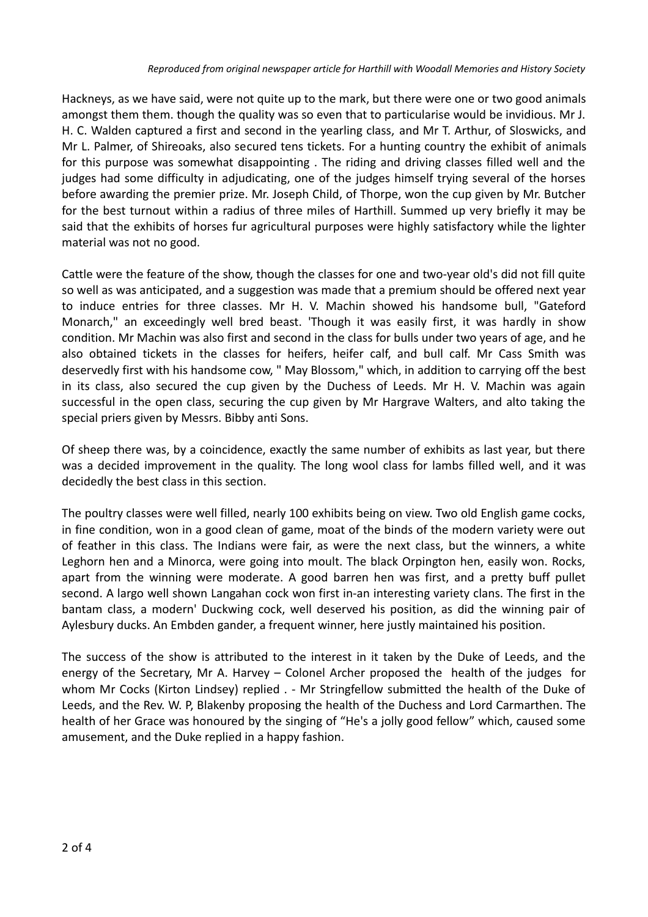Hackneys, as we have said, were not quite up to the mark, but there were one or two good animals amongst them them. though the quality was so even that to particularise would be invidious. Mr J. H. C. Walden captured a first and second in the yearling class, and Mr T. Arthur, of Sloswicks, and Mr L. Palmer, of Shireoaks, also secured tens tickets. For a hunting country the exhibit of animals for this purpose was somewhat disappointing . The riding and driving classes filled well and the judges had some difficulty in adjudicating, one of the judges himself trying several of the horses before awarding the premier prize. Mr. Joseph Child, of Thorpe, won the cup given by Mr. Butcher for the best turnout within a radius of three miles of Harthill. Summed up very briefly it may be said that the exhibits of horses fur agricultural purposes were highly satisfactory while the lighter material was not no good.

Cattle were the feature of the show, though the classes for one and two-year old's did not fill quite so well as was anticipated, and a suggestion was made that a premium should be offered next year to induce entries for three classes. Mr H. V. Machin showed his handsome bull, "Gateford Monarch," an exceedingly well bred beast. 'Though it was easily first, it was hardly in show condition. Mr Machin was also first and second in the class for bulls under two years of age, and he also obtained tickets in the classes for heifers, heifer calf, and bull calf. Mr Cass Smith was deservedly first with his handsome cow, " May Blossom," which, in addition to carrying off the best in its class, also secured the cup given by the Duchess of Leeds. Mr H. V. Machin was again successful in the open class, securing the cup given by Mr Hargrave Walters, and alto taking the special priers given by Messrs. Bibby anti Sons.

Of sheep there was, by a coincidence, exactly the same number of exhibits as last year, but there was a decided improvement in the quality. The long wool class for lambs filled well, and it was decidedly the best class in this section.

The poultry classes were well filled, nearly 100 exhibits being on view. Two old English game cocks, in fine condition, won in a good clean of game, moat of the binds of the modern variety were out of feather in this class. The Indians were fair, as were the next class, but the winners, a white Leghorn hen and a Minorca, were going into moult. The black Orpington hen, easily won. Rocks, apart from the winning were moderate. A good barren hen was first, and a pretty buff pullet second. A largo well shown Langahan cock won first in-an interesting variety clans. The first in the bantam class, a modern' Duckwing cock, well deserved his position, as did the winning pair of Aylesbury ducks. An Embden gander, a frequent winner, here justly maintained his position.

The success of the show is attributed to the interest in it taken by the Duke of Leeds, and the energy of the Secretary, Mr A. Harvey – Colonel Archer proposed the health of the judges for whom Mr Cocks (Kirton Lindsey) replied . - Mr Stringfellow submitted the health of the Duke of Leeds, and the Rev. W. P, Blakenby proposing the health of the Duchess and Lord Carmarthen. The health of her Grace was honoured by the singing of "He's a jolly good fellow" which, caused some amusement, and the Duke replied in a happy fashion.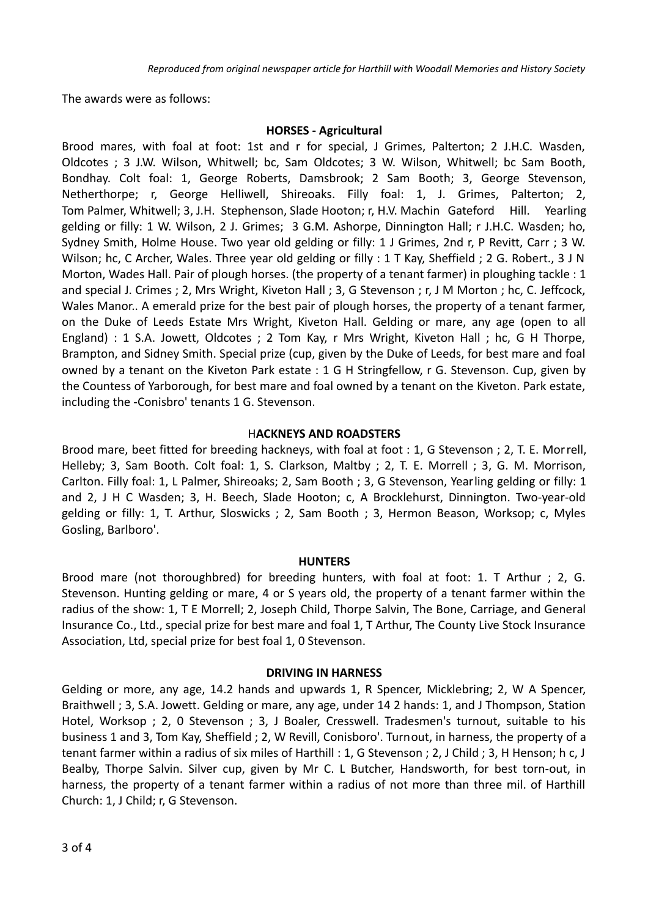The awards were as follows:

#### **HORSES - Agricultural**

Brood mares, with foal at foot: 1st and r for special, J Grimes, Palterton; 2 J.H.C. Wasden, Oldcotes ; 3 J.W. Wilson, Whitwell; bc, Sam Oldcotes; 3 W. Wilson, Whitwell; bc Sam Booth, Bondhay. Colt foal: 1, George Roberts, Damsbrook; 2 Sam Booth; 3, George Stevenson, Netherthorpe; r, George Helliwell, Shireoaks. Filly foal: 1, J. Grimes, Palterton; 2, Tom Palmer, Whitwell; 3, J.H. Stephenson, Slade Hooton; r, H.V. Machin Gateford Hill. Yearling gelding or filly: 1 W. Wilson, 2 J. Grimes; 3 G.M. Ashorpe, Dinnington Hall; r J.H.C. Wasden; ho, Sydney Smith, Holme House. Two year old gelding or filly: 1 J Grimes, 2nd r, P Revitt, Carr ; 3 W. Wilson; hc, C Archer, Wales. Three year old gelding or filly : 1 T Kay, Sheffield ; 2 G. Robert., 3 J N Morton, Wades Hall. Pair of plough horses. (the property of a tenant farmer) in ploughing tackle : 1 and special J. Crimes ; 2, Mrs Wright, Kiveton Hall ; 3, G Stevenson ; r, J M Morton ; hc, C. Jeffcock, Wales Manor.. A emerald prize for the best pair of plough horses, the property of a tenant farmer, on the Duke of Leeds Estate Mrs Wright, Kiveton Hall. Gelding or mare, any age (open to all England) : 1 S.A. Jowett, Oldcotes ; 2 Tom Kay, r Mrs Wright, Kiveton Hall ; hc, G H Thorpe, Brampton, and Sidney Smith. Special prize (cup, given by the Duke of Leeds, for best mare and foal owned by a tenant on the Kiveton Park estate : 1 G H Stringfellow, r G. Stevenson. Cup, given by the Countess of Yarborough, for best mare and foal owned by a tenant on the Kiveton. Park estate, including the -Conisbro' tenants 1 G. Stevenson.

# H**ACKNEYS AND ROADSTERS**

Brood mare, beet fitted for breeding hackneys, with foal at foot : 1, G Stevenson ; 2, T. E. Morrell, Helleby; 3, Sam Booth. Colt foal: 1, S. Clarkson, Maltby ; 2, T. E. Morrell ; 3, G. M. Morrison, Carlton. Filly foal: 1, L Palmer, Shireoaks; 2, Sam Booth ; 3, G Stevenson, Yearling gelding or filly: 1 and 2, J H C Wasden; 3, H. Beech, Slade Hooton; c, A Brocklehurst, Dinnington. Two-year-old gelding or filly: 1, T. Arthur, Sloswicks ; 2, Sam Booth ; 3, Hermon Beason, Worksop; c, Myles Gosling, Barlboro'.

#### **HUNTERS**

Brood mare (not thoroughbred) for breeding hunters, with foal at foot: 1. T Arthur ; 2, G. Stevenson. Hunting gelding or mare, 4 or S years old, the property of a tenant farmer within the radius of the show: 1, T E Morrell; 2, Joseph Child, Thorpe Salvin, The Bone, Carriage, and General Insurance Co., Ltd., special prize for best mare and foal 1, T Arthur, The County Live Stock Insurance Association, Ltd, special prize for best foal 1, 0 Stevenson.

# **DRIVING IN HARNESS**

Gelding or more, any age, 14.2 hands and upwards 1, R Spencer, Micklebring; 2, W A Spencer, Braithwell ; 3, S.A. Jowett. Gelding or mare, any age, under 14 2 hands: 1, and J Thompson, Station Hotel, Worksop ; 2, 0 Stevenson ; 3, J Boaler, Cresswell. Tradesmen's turnout, suitable to his business 1 and 3, Tom Kay, Sheffield ; 2, W Revill, Conisboro'. Turnout, in harness, the property of a tenant farmer within a radius of six miles of Harthill : 1, G Stevenson ; 2, J Child ; 3, H Henson; h c, J Bealby, Thorpe Salvin. Silver cup, given by Mr C. L Butcher, Handsworth, for best torn-out, in harness, the property of a tenant farmer within a radius of not more than three mil. of Harthill Church: 1, J Child; r, G Stevenson.